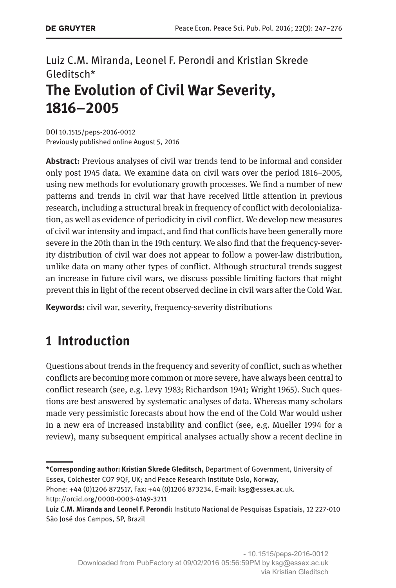### Luiz C.M. Miranda, Leonel F. Perondi and Kristian Skrede Gleditsch\* **The Evolution of Civil War Severity, 1816–2005**

DOI 10.1515/peps-2016-0012 Previously published online August 5, 2016

**Abstract:** Previous analyses of civil war trends tend to be informal and consider only post 1945 data. We examine data on civil wars over the period 1816–2005, using new methods for evolutionary growth processes. We find a number of new patterns and trends in civil war that have received little attention in previous research, including a structural break in frequency of conflict with decolonialization, as well as evidence of periodicity in civil conflict. We develop new measures of civil war intensity and impact, and find that conflicts have been generally more severe in the 20th than in the 19th century. We also find that the frequency-severity distribution of civil war does not appear to follow a power-law distribution, unlike data on many other types of conflict. Although structural trends suggest an increase in future civil wars, we discuss possible limiting factors that might prevent this in light of the recent observed decline in civil wars after the Cold War.

**Keywords:** civil war, severity, frequency-severity distributions

## **1 Introduction**

Questions about trends in the frequency and severity of conflict, such as whether conflicts are becoming more common or more severe, have always been central to conflict research (see, e.g. Levy 1983; Richardson 1941; Wright 1965). Such questions are best answered by systematic analyses of data. Whereas many scholars made very pessimistic forecasts about how the end of the Cold War would usher in a new era of increased instability and conflict (see, e.g. Mueller 1994 for a review), many subsequent empirical analyses actually show a recent decline in

**<sup>\*</sup>Corresponding author: Kristian Skrede Gleditsch,** Department of Government, University of Essex, Colchester CO7 9QF, UK; and Peace Research Institute Oslo, Norway,

Phone: +44 (0)1206 872517, Fax: +44 (0)1206 873234, E-mail: [ksg@essex.ac.uk.](mailto:ksg@essex.ac.uk) <http://orcid.org/0000-0003-4149-3211>

**Luiz C.M. Miranda and Leonel F. Perondi:** Instituto Nacional de Pesquisas Espaciais, 12 227-010 São José dos Campos, SP, Brazil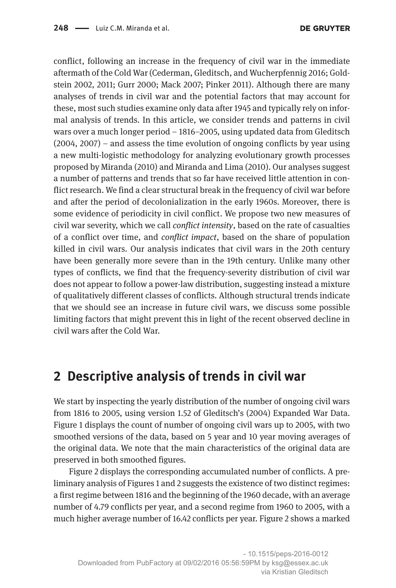conflict, following an increase in the frequency of civil war in the immediate aftermath of the Cold War (Cederman, Gleditsch, and Wucherpfennig 2016; Goldstein 2002, 2011; Gurr 2000; Mack 2007; Pinker 2011). Although there are many analyses of trends in civil war and the potential factors that may account for these, most such studies examine only data after 1945 and typically rely on informal analysis of trends. In this article, we consider trends and patterns in civil wars over a much longer period – 1816–2005, using updated data from Gleditsch (2004, 2007) – and assess the time evolution of ongoing conflicts by year using a new multi-logistic methodology for analyzing evolutionary growth processes proposed by Miranda (2010) and Miranda and Lima (2010). Our analyses suggest a number of patterns and trends that so far have received little attention in conflict research. We find a clear structural break in the frequency of civil war before and after the period of decolonialization in the early 1960s. Moreover, there is some evidence of periodicity in civil conflict. We propose two new measures of civil war severity, which we call *conflict intensity*, based on the rate of casualties of a conflict over time, and *conflict impact*, based on the share of population killed in civil wars. Our analysis indicates that civil wars in the 20th century have been generally more severe than in the 19th century. Unlike many other types of conflicts, we find that the frequency-severity distribution of civil war does not appear to follow a power-law distribution, suggesting instead a mixture of qualitatively different classes of conflicts. Although structural trends indicate that we should see an increase in future civil wars, we discuss some possible limiting factors that might prevent this in light of the recent observed decline in civil wars after the Cold War.

### **2 Descriptive analysis of trends in civil war**

We start by inspecting the yearly distribution of the number of ongoing civil wars from 1816 to 2005, using version 1.52 of Gleditsch's (2004) Expanded War Data. Figure 1 displays the count of number of ongoing civil wars up to 2005, with two smoothed versions of the data, based on 5 year and 10 year moving averages of the original data. We note that the main characteristics of the original data are preserved in both smoothed figures.

Figure 2 displays the corresponding accumulated number of conflicts. A preliminary analysis of Figures 1 and 2 suggests the existence of two distinct regimes: a first regime between 1816 and the beginning of the 1960 decade, with an average number of 4.79 conflicts per year, and a second regime from 1960 to 2005, with a much higher average number of 16.42 conflicts per year. Figure 2 shows a marked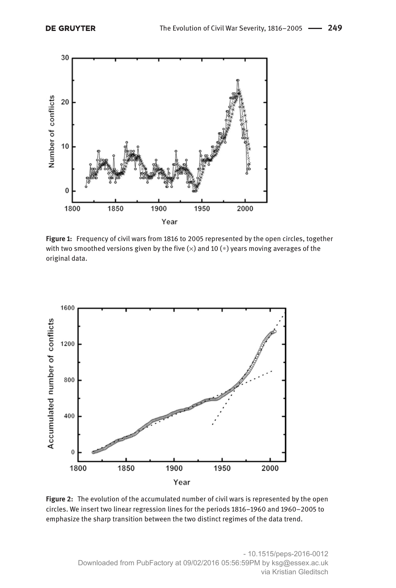

**Figure 1:** Frequency of civil wars from 1816 to 2005 represented by the open circles, together with two smoothed versions given by the five  $(x)$  and 10  $(*)$  years moving averages of the original data.



**Figure 2:** The evolution of the accumulated number of civil wars is represented by the open circles. We insert two linear regression lines for the periods 1816–1960 and 1960–2005 to emphasize the sharp transition between the two distinct regimes of the data trend.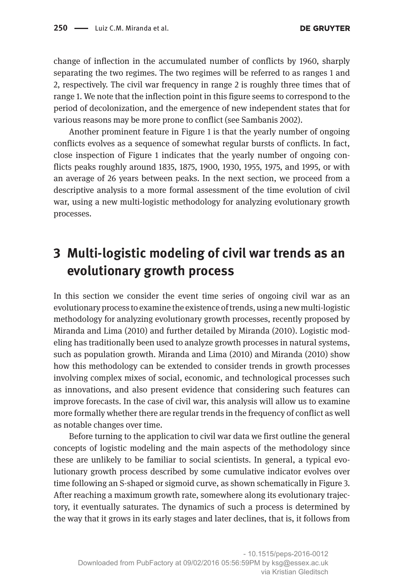change of inflection in the accumulated number of conflicts by 1960, sharply separating the two regimes. The two regimes will be referred to as ranges 1 and 2, respectively. The civil war frequency in range 2 is roughly three times that of range 1. We note that the inflection point in this figure seems to correspond to the period of decolonization, and the emergence of new independent states that for various reasons may be more prone to conflict (see Sambanis 2002).

Another prominent feature in Figure 1 is that the yearly number of ongoing conflicts evolves as a sequence of somewhat regular bursts of conflicts. In fact, close inspection of Figure 1 indicates that the yearly number of ongoing conflicts peaks roughly around 1835, 1875, 1900, 1930, 1955, 1975, and 1995, or with an average of 26 years between peaks. In the next section, we proceed from a descriptive analysis to a more formal assessment of the time evolution of civil war, using a new multi-logistic methodology for analyzing evolutionary growth processes.

## **3 Multi-logistic modeling of civil war trends as an evolutionary growth process**

In this section we consider the event time series of ongoing civil war as an evolutionary process to examine the existence of trends, using a new multi-logistic methodology for analyzing evolutionary growth processes, recently proposed by Miranda and Lima (2010) and further detailed by Miranda (2010). Logistic modeling has traditionally been used to analyze growth processes in natural systems, such as population growth. Miranda and Lima (2010) and Miranda (2010) show how this methodology can be extended to consider trends in growth processes involving complex mixes of social, economic, and technological processes such as innovations, and also present evidence that considering such features can improve forecasts. In the case of civil war, this analysis will allow us to examine more formally whether there are regular trends in the frequency of conflict as well as notable changes over time.

Before turning to the application to civil war data we first outline the general concepts of logistic modeling and the main aspects of the methodology since these are unlikely to be familiar to social scientists. In general, a typical evolutionary growth process described by some cumulative indicator evolves over time following an S-shaped or sigmoid curve, as shown schematically in Figure 3. After reaching a maximum growth rate, somewhere along its evolutionary trajectory, it eventually saturates. The dynamics of such a process is determined by the way that it grows in its early stages and later declines, that is, it follows from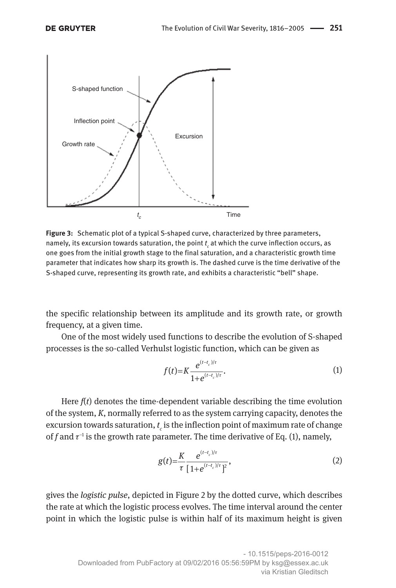

**Figure 3:** Schematic plot of a typical S-shaped curve, characterized by three parameters, namely, its excursion towards saturation, the point  $t_{\epsilon}$  at which the curve inflection occurs, as one goes from the initial growth stage to the final saturation, and a characteristic growth time parameter that indicates how sharp its growth is. The dashed curve is the time derivative of the S-shaped curve, representing its growth rate, and exhibits a characteristic "bell" shape.

the specific relationship between its amplitude and its growth rate, or growth frequency, at a given time.

One of the most widely used functions to describe the evolution of S-shaped processes is the so-called Verhulst logistic function, which can be given as

$$
f(t) = K \frac{e^{(t-t_c)/\tau}}{1 + e^{(t-t_c)/\tau}}.
$$
 (1)

Here  $f(t)$  denotes the time-dependent variable describing the time evolution of the system, *K*, normally referred to as the system carrying capacity, denotes the excursion towards saturation,  $t_c$  is the inflection point of maximum rate of change of *f* and  $\tau^{-1}$  is the growth rate parameter. The time derivative of Eq. (1), namely,

$$
g(t) = \frac{K}{\tau} \frac{e^{(t-t_c)/\tau}}{[1+e^{(t-t_c)/\tau}]^2},
$$
\n(2)

gives the *logistic pulse*, depicted in Figure 2 by the dotted curve, which describes the rate at which the logistic process evolves. The time interval around the center point in which the logistic pulse is within half of its maximum height is given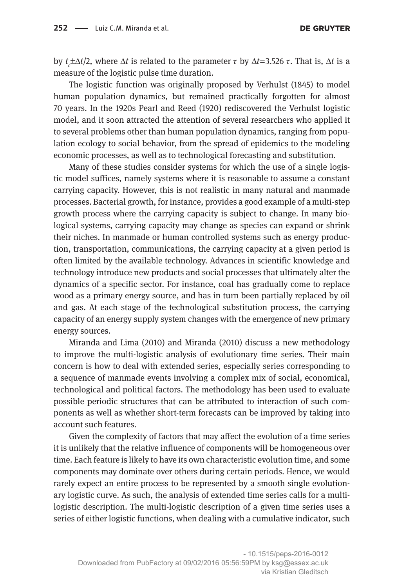by *t c* ±Δ*t*/2, where Δ*t* is related to the parameter τ by Δ*t*= 3.526 τ. That is, Δ*t* is a measure of the logistic pulse time duration.

The logistic function was originally proposed by Verhulst (1845) to model human population dynamics, but remained practically forgotten for almost 70 years. In the 1920s Pearl and Reed (1920) rediscovered the Verhulst logistic model, and it soon attracted the attention of several researchers who applied it to several problems other than human population dynamics, ranging from population ecology to social behavior, from the spread of epidemics to the modeling economic processes, as well as to technological forecasting and substitution.

Many of these studies consider systems for which the use of a single logistic model suffices, namely systems where it is reasonable to assume a constant carrying capacity. However, this is not realistic in many natural and manmade processes. Bacterial growth, for instance, provides a good example of a multi-step growth process where the carrying capacity is subject to change. In many biological systems, carrying capacity may change as species can expand or shrink their niches. In manmade or human controlled systems such as energy production, transportation, communications, the carrying capacity at a given period is often limited by the available technology. Advances in scientific knowledge and technology introduce new products and social processes that ultimately alter the dynamics of a specific sector. For instance, coal has gradually come to replace wood as a primary energy source, and has in turn been partially replaced by oil and gas. At each stage of the technological substitution process, the carrying capacity of an energy supply system changes with the emergence of new primary energy sources.

Miranda and Lima (2010) and Miranda (2010) discuss a new methodology to improve the multi-logistic analysis of evolutionary time series. Their main concern is how to deal with extended series, especially series corresponding to a sequence of manmade events involving a complex mix of social, economical, technological and political factors. The methodology has been used to evaluate possible periodic structures that can be attributed to interaction of such components as well as whether short-term forecasts can be improved by taking into account such features.

Given the complexity of factors that may affect the evolution of a time series it is unlikely that the relative influence of components will be homogeneous over time. Each feature is likely to have its own characteristic evolution time, and some components may dominate over others during certain periods. Hence, we would rarely expect an entire process to be represented by a smooth single evolutionary logistic curve. As such, the analysis of extended time series calls for a multilogistic description. The multi-logistic description of a given time series uses a series of either logistic functions, when dealing with a cumulative indicator, such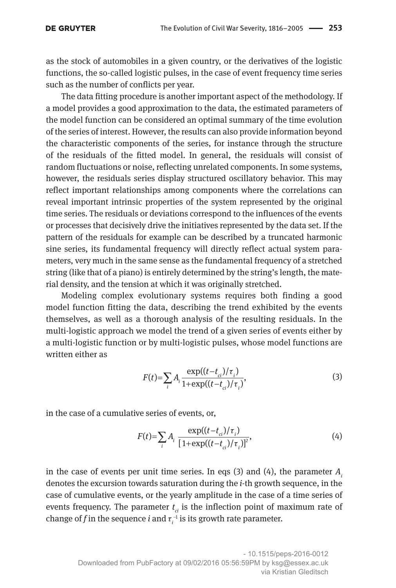#### **DE GRUYTER**

as the stock of automobiles in a given country, or the derivatives of the logistic functions, the so-called logistic pulses, in the case of event frequency time series such as the number of conflicts per year.

The data fitting procedure is another important aspect of the methodology. If a model provides a good approximation to the data, the estimated parameters of the model function can be considered an optimal summary of the time evolution of the series of interest. However, the results can also provide information beyond the characteristic components of the series, for instance through the structure of the residuals of the fitted model. In general, the residuals will consist of random fluctuations or noise, reflecting unrelated components. In some systems, however, the residuals series display structured oscillatory behavior. This may reflect important relationships among components where the correlations can reveal important intrinsic properties of the system represented by the original time series. The residuals or deviations correspond to the influences of the events or processes that decisively drive the initiatives represented by the data set. If the pattern of the residuals for example can be described by a truncated harmonic sine series, its fundamental frequency will directly reflect actual system parameters, very much in the same sense as the fundamental frequency of a stretched string (like that of a piano) is entirely determined by the string's length, the material density, and the tension at which it was originally stretched.

Modeling complex evolutionary systems requires both finding a good model function fitting the data, describing the trend exhibited by the events themselves, as well as a thorough analysis of the resulting residuals. In the multi-logistic approach we model the trend of a given series of events either by a multi-logistic function or by multi-logistic pulses, whose model functions are written either as

$$
F(t) = \sum_{i} A_i \frac{\exp((t - t_{ci})/\tau_i)}{1 + \exp((t - t_{ci})/\tau_i)},
$$
\n(3)

in the case of a cumulative series of events, or,

$$
F(t) = \sum_{i} A_i \frac{\exp((t - t_{ci})/\tau_i)}{[1 + \exp((t - t_{ci})/\tau_i)]^2},\tag{4}
$$

in the case of events per unit time series. In eqs (3) and (4), the parameter *Ai* denotes the excursion towards saturation during the *i-*th growth sequence, in the case of cumulative events, or the yearly amplitude in the case of a time series of events frequency. The parameter *t ci* is the inflection point of maximum rate of change of *f* in the sequence *i* and  $\tau_i^{-1}$  is its growth rate parameter.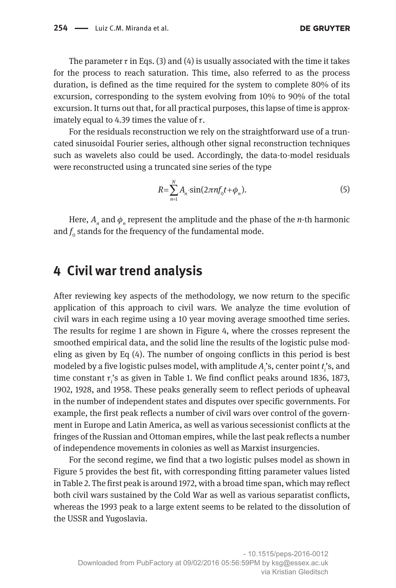**DE GRUYTER** 

The parameter  $\tau$  in Eqs. (3) and (4) is usually associated with the time it takes for the process to reach saturation. This time, also referred to as the process duration, is defined as the time required for the system to complete 80% of its excursion, corresponding to the system evolving from 10% to 90% of the total excursion. It turns out that, for all practical purposes, this lapse of time is approximately equal to 4.39 times the value of  $\tau$ .

For the residuals reconstruction we rely on the straightforward use of a truncated sinusoidal Fourier series, although other signal reconstruction techniques such as wavelets also could be used. Accordingly, the data-to-model residuals were reconstructed using a truncated sine series of the type

$$
R = \sum_{n=1}^{N} A_n \cdot \sin(2\pi n f_0 t + \phi_n).
$$
 (5)

Here,  $A_n$  and  $\phi_n$  represent the amplitude and the phase of the *n*-th harmonic and  $f_{\rm o}$  stands for the frequency of the fundamental mode.

#### **4 Civil war trend analysis**

After reviewing key aspects of the methodology, we now return to the specific application of this approach to civil wars. We analyze the time evolution of civil wars in each regime using a 10 year moving average smoothed time series. The results for regime 1 are shown in Figure 4, where the crosses represent the smoothed empirical data, and the solid line the results of the logistic pulse modeling as given by Eq (4). The number of ongoing conflicts in this period is best modeled by a five logistic pulses model, with amplitude *Ai* 's, center point *t i* 's, and time constant *τ*<sub>*i*</sub>'s as given in Table 1. We find conflict peaks around 1836, 1873, 1902, 1928, and 1958. These peaks generally seem to reflect periods of upheaval in the number of independent states and disputes over specific governments. For example, the first peak reflects a number of civil wars over control of the government in Europe and Latin America, as well as various secessionist conflicts at the fringes of the Russian and Ottoman empires, while the last peak reflects a number of independence movements in colonies as well as Marxist insurgencies.

For the second regime, we find that a two logistic pulses model as shown in Figure 5 provides the best fit, with corresponding fitting parameter values listed in Table 2. The first peak is around 1972, with a broad time span, which may reflect both civil wars sustained by the Cold War as well as various separatist conflicts, whereas the 1993 peak to a large extent seems to be related to the dissolution of the USSR and Yugoslavia.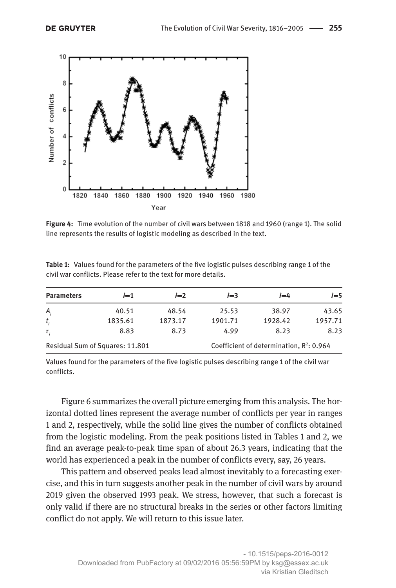

**Figure 4:** Time evolution of the number of civil wars between 1818 and 1960 (range 1). The solid line represents the results of logistic modeling as described in the text.

| <b>Parameters</b>               | $i=1$   | $i=2$   | $i=3$   | $i = 4$                                     | $i=5$   |
|---------------------------------|---------|---------|---------|---------------------------------------------|---------|
| Α,                              | 40.51   | 48.54   | 25.53   | 38.97                                       | 43.65   |
| $t_{i}$                         | 1835.61 | 1873.17 | 1901.71 | 1928.42                                     | 1957.71 |
| $\tau_{i}$                      | 8.83    | 8.73    | 4.99    | 8.23                                        | 8.23    |
| Residual Sum of Squares: 11.801 |         |         |         | Coefficient of determination, $R^2$ : 0.964 |         |

**Table 1:** Values found for the parameters of the five logistic pulses describing range 1 of the civil war conflicts. Please refer to the text for more details.

Values found for the parameters of the five logistic pulses describing range 1 of the civil war conflicts.

Figure 6 summarizes the overall picture emerging from this analysis. The horizontal dotted lines represent the average number of conflicts per year in ranges 1 and 2, respectively, while the solid line gives the number of conflicts obtained from the logistic modeling. From the peak positions listed in Tables 1 and 2, we find an average peak-to-peak time span of about 26.3 years, indicating that the world has experienced a peak in the number of conflicts every, say, 26 years.

This pattern and observed peaks lead almost inevitably to a forecasting exercise, and this in turn suggests another peak in the number of civil wars by around 2019 given the observed 1993 peak. We stress, however, that such a forecast is only valid if there are no structural breaks in the series or other factors limiting conflict do not apply. We will return to this issue later.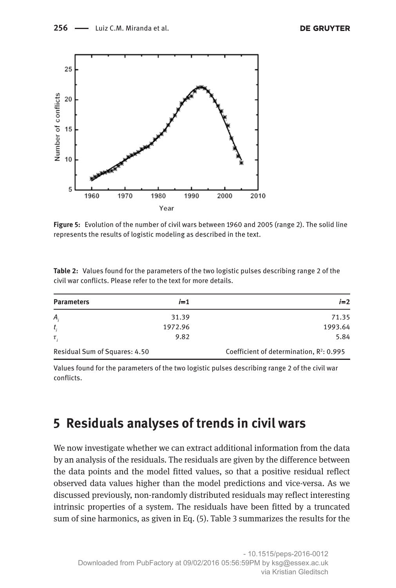

**Figure 5:** Evolution of the number of civil wars between 1960 and 2005 (range 2). The solid line represents the results of logistic modeling as described in the text.

| <b>Parameters</b>             | $i=1$   | $i=2$                                       |
|-------------------------------|---------|---------------------------------------------|
| A,                            | 31.39   | 71.35                                       |
| $t_{i}$                       | 1972.96 | 1993.64                                     |
| $\tau$ ,                      | 9.82    | 5.84                                        |
| Residual Sum of Squares: 4.50 |         | Coefficient of determination, $R^2$ : 0.995 |

**Table 2:** Values found for the parameters of the two logistic pulses describing range 2 of the civil war conflicts. Please refer to the text for more details.

Values found for the parameters of the two logistic pulses describing range 2 of the civil war conflicts.

#### **5 Residuals analyses of trends in civil wars**

We now investigate whether we can extract additional information from the data by an analysis of the residuals. The residuals are given by the difference between the data points and the model fitted values, so that a positive residual reflect observed data values higher than the model predictions and vice-versa. As we discussed previously, non-randomly distributed residuals may reflect interesting intrinsic properties of a system. The residuals have been fitted by a truncated sum of sine harmonics, as given in Eq. (5). Table 3 summarizes the results for the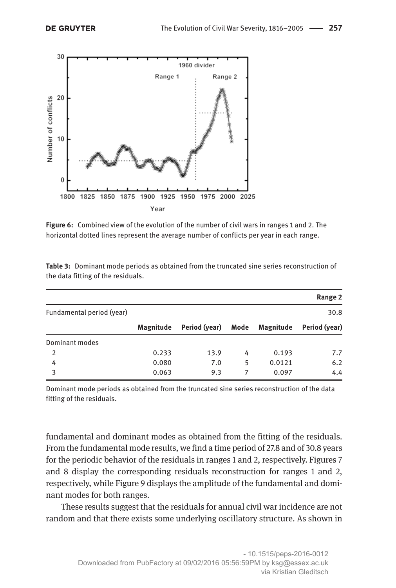

**Figure 6:** Combined view of the evolution of the number of civil wars in ranges 1 and 2. The horizontal dotted lines represent the average number of conflicts per year in each range.

|                           |           |               |      |           | Range 2       |
|---------------------------|-----------|---------------|------|-----------|---------------|
| Fundamental period (year) |           |               |      |           | 30.8          |
|                           | Magnitude | Period (year) | Mode | Magnitude | Period (year) |
| Dominant modes            |           |               |      |           |               |
| 2                         | 0.233     | 13.9          | 4    | 0.193     | 7.7           |
| 4                         | 0.080     | 7.0           | 5    | 0.0121    | 6.2           |
| 3                         | 0.063     | 9.3           |      | 0.097     | 4.4           |

**Table 3:** Dominant mode periods as obtained from the truncated sine series reconstruction of the data fitting of the residuals.

Dominant mode periods as obtained from the truncated sine series reconstruction of the data fitting of the residuals.

fundamental and dominant modes as obtained from the fitting of the residuals. From the fundamental mode results, we find a time period of 27.8 and of 30.8 years for the periodic behavior of the residuals in ranges 1 and 2, respectively. Figures 7 and 8 display the corresponding residuals reconstruction for ranges 1 and 2, respectively, while Figure 9 displays the amplitude of the fundamental and dominant modes for both ranges.

These results suggest that the residuals for annual civil war incidence are not random and that there exists some underlying oscillatory structure. As shown in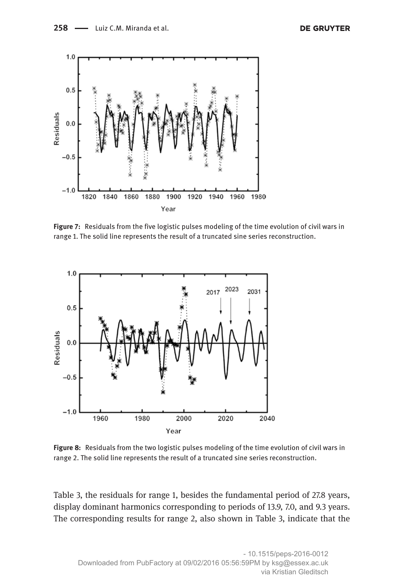

**Figure 7:** Residuals from the five logistic pulses modeling of the time evolution of civil wars in range 1. The solid line represents the result of a truncated sine series reconstruction.



**Figure 8:** Residuals from the two logistic pulses modeling of the time evolution of civil wars in range 2. The solid line represents the result of a truncated sine series reconstruction.

Table 3, the residuals for range 1, besides the fundamental period of 27.8 years, display dominant harmonics corresponding to periods of 13.9, 7.0, and 9.3 years. The corresponding results for range 2, also shown in Table 3, indicate that the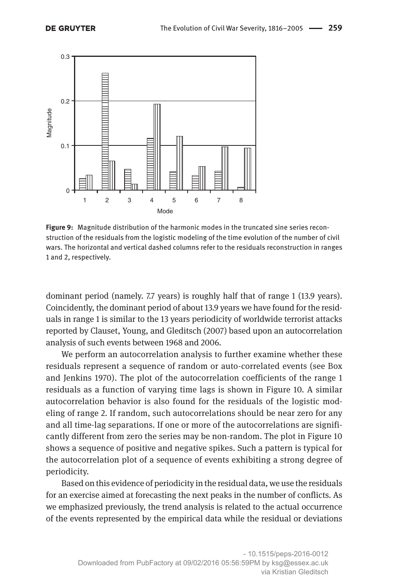

**Figure 9:** Magnitude distribution of the harmonic modes in the truncated sine series reconstruction of the residuals from the logistic modeling of the time evolution of the number of civil wars. The horizontal and vertical dashed columns refer to the residuals reconstruction in ranges 1 and 2, respectively.

dominant period (namely. 7.7 years) is roughly half that of range 1 (13.9 years). Coincidently, the dominant period of about 13.9 years we have found for the residuals in range 1 is similar to the 13 years periodicity of worldwide terrorist attacks reported by Clauset, Young, and Gleditsch (2007) based upon an autocorrelation analysis of such events between 1968 and 2006.

We perform an autocorrelation analysis to further examine whether these residuals represent a sequence of random or auto-correlated events (see Box and Jenkins 1970). The plot of the autocorrelation coefficients of the range 1 residuals as a function of varying time lags is shown in Figure 10. A similar autocorrelation behavior is also found for the residuals of the logistic modeling of range 2. If random, such autocorrelations should be near zero for any and all time-lag separations. If one or more of the autocorrelations are significantly different from zero the series may be non-random. The plot in Figure 10 shows a sequence of positive and negative spikes. Such a pattern is typical for the autocorrelation plot of a sequence of events exhibiting a strong degree of periodicity.

Based on this evidence of periodicity in the residual data, we use the residuals for an exercise aimed at forecasting the next peaks in the number of conflicts. As we emphasized previously, the trend analysis is related to the actual occurrence of the events represented by the empirical data while the residual or deviations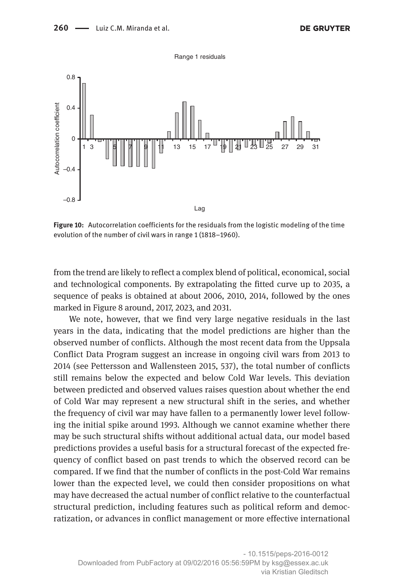

**Figure 10:** Autocorrelation coefficients for the residuals from the logistic modeling of the time evolution of the number of civil wars in range 1 (1818–1960).

from the trend are likely to reflect a complex blend of political, economical, social and technological components. By extrapolating the fitted curve up to 2035, a sequence of peaks is obtained at about 2006, 2010, 2014, followed by the ones marked in Figure 8 around, 2017, 2023, and 2031.

We note, however, that we find very large negative residuals in the last years in the data, indicating that the model predictions are higher than the observed number of conflicts. Although the most recent data from the Uppsala Conflict Data Program suggest an increase in ongoing civil wars from 2013 to 2014 (see Pettersson and Wallensteen 2015, 537), the total number of conflicts still remains below the expected and below Cold War levels. This deviation between predicted and observed values raises question about whether the end of Cold War may represent a new structural shift in the series, and whether the frequency of civil war may have fallen to a permanently lower level following the initial spike around 1993. Although we cannot examine whether there may be such structural shifts without additional actual data, our model based predictions provides a useful basis for a structural forecast of the expected frequency of conflict based on past trends to which the observed record can be compared. If we find that the number of conflicts in the post-Cold War remains lower than the expected level, we could then consider propositions on what may have decreased the actual number of conflict relative to the counterfactual structural prediction, including features such as political reform and democratization, or advances in conflict management or more effective international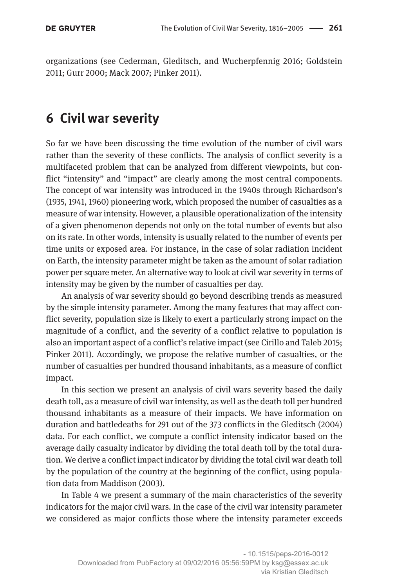organizations (see Cederman, Gleditsch, and Wucherpfennig 2016; Goldstein 2011; Gurr 2000; Mack 2007; Pinker 2011).

### **6 Civil war severity**

So far we have been discussing the time evolution of the number of civil wars rather than the severity of these conflicts. The analysis of conflict severity is a multifaceted problem that can be analyzed from different viewpoints, but conflict "intensity" and "impact" are clearly among the most central components. The concept of war intensity was introduced in the 1940s through Richardson's (1935, 1941, 1960) pioneering work, which proposed the number of casualties as a measure of war intensity. However, a plausible operationalization of the intensity of a given phenomenon depends not only on the total number of events but also on its rate. In other words, intensity is usually related to the number of events per time units or exposed area. For instance, in the case of solar radiation incident on Earth, the intensity parameter might be taken as the amount of solar radiation power per square meter. An alternative way to look at civil war severity in terms of intensity may be given by the number of casualties per day.

An analysis of war severity should go beyond describing trends as measured by the simple intensity parameter. Among the many features that may affect conflict severity, population size is likely to exert a particularly strong impact on the magnitude of a conflict, and the severity of a conflict relative to population is also an important aspect of a conflict's relative impact (see Cirillo and Taleb 2015; Pinker 2011). Accordingly, we propose the relative number of casualties, or the number of casualties per hundred thousand inhabitants, as a measure of conflict impact.

In this section we present an analysis of civil wars severity based the daily death toll, as a measure of civil war intensity, as well as the death toll per hundred thousand inhabitants as a measure of their impacts. We have information on duration and battledeaths for 291 out of the 373 conflicts in the Gleditsch (2004) data. For each conflict, we compute a conflict intensity indicator based on the average daily casualty indicator by dividing the total death toll by the total duration. We derive a conflict impact indicator by dividing the total civil war death toll by the population of the country at the beginning of the conflict, using population data from Maddison (2003).

In Table 4 we present a summary of the main characteristics of the severity indicators for the major civil wars. In the case of the civil war intensity parameter we considered as major conflicts those where the intensity parameter exceeds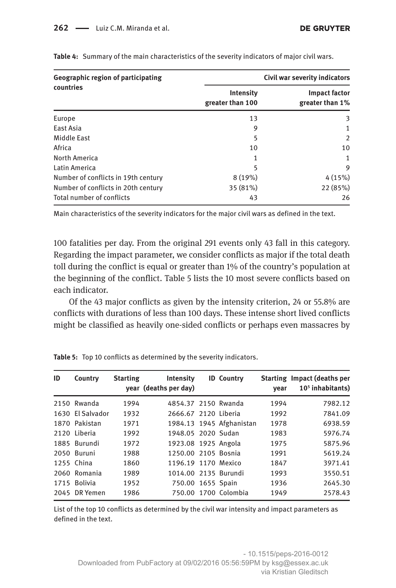| Geographic region of participating  | Civil war severity indicators |                                         |  |  |
|-------------------------------------|-------------------------------|-----------------------------------------|--|--|
| countries                           | Intensity<br>greater than 100 | <b>Impact factor</b><br>greater than 1% |  |  |
| Europe                              | 13                            | 3                                       |  |  |
| East Asia                           | 9                             | 1                                       |  |  |
| Middle East                         | 5                             | 2                                       |  |  |
| Africa                              | 10                            | 10                                      |  |  |
| North America                       | 1                             | 1                                       |  |  |
| Latin America                       | 5                             | 9                                       |  |  |
| Number of conflicts in 19th century | 8(19%)                        | 4(15%)                                  |  |  |
| Number of conflicts in 20th century | 35 (81%)                      | 22 (85%)                                |  |  |
| Total number of conflicts           | 43                            | 26                                      |  |  |

**Table 4:** Summary of the main characteristics of the severity indicators of major civil wars.

Main characteristics of the severity indicators for the major civil wars as defined in the text.

100 fatalities per day. From the original 291 events only 43 fall in this category. Regarding the impact parameter, we consider conflicts as major if the total death toll during the conflict is equal or greater than 1% of the country's population at the beginning of the conflict. Table 5 lists the 10 most severe conflicts based on each indicator.

Of the 43 major conflicts as given by the intensity criterion, 24 or 55.8% are conflicts with durations of less than 100 days. These intense short lived conflicts might be classified as heavily one-sided conflicts or perhaps even massacres by

| ID | Country          | <b>Starting</b> | Intensity<br>year (deaths per day) | <b>ID Country</b>        | vear | <b>Starting Impact (deaths per</b><br>$105$ inhabitants) |
|----|------------------|-----------------|------------------------------------|--------------------------|------|----------------------------------------------------------|
|    | 2150 Rwanda      | 1994            | 4854.37 2150 Rwanda                |                          | 1994 | 7982.12                                                  |
|    | 1630 El Salvador | 1932            | 2666.67 2120 Liberia               |                          | 1992 | 7841.09                                                  |
|    | 1870 Pakistan    | 1971            |                                    | 1984.13 1945 Afghanistan | 1978 | 6938.59                                                  |
|    | 2120 Liberia     | 1992            | 1948.05 2020 Sudan                 |                          | 1983 | 5976.74                                                  |
|    | 1885 Burundi     | 1972            | 1923.08 1925 Angola                |                          | 1975 | 5875.96                                                  |
|    | 2050 Buruni      | 1988            | 1250.00 2105 Bosnia                |                          | 1991 | 5619.24                                                  |
|    | 1255 China       | 1860            | 1196.19 1170 Mexico                |                          | 1847 | 3971.41                                                  |
|    | 2060 Romania     | 1989            | 1014.00 2135 Burundi               |                          | 1993 | 3550.51                                                  |
|    | 1715 Bolivia     | 1952            | 750.00 1655 Spain                  |                          | 1936 | 2645.30                                                  |
|    | 2045 DR Yemen    | 1986            |                                    | 750.00 1700 Colombia     | 1949 | 2578.43                                                  |

**Table 5:** Top 10 conflicts as determined by the severity indicators.

List of the top 10 conflicts as determined by the civil war intensity and impact parameters as defined in the text.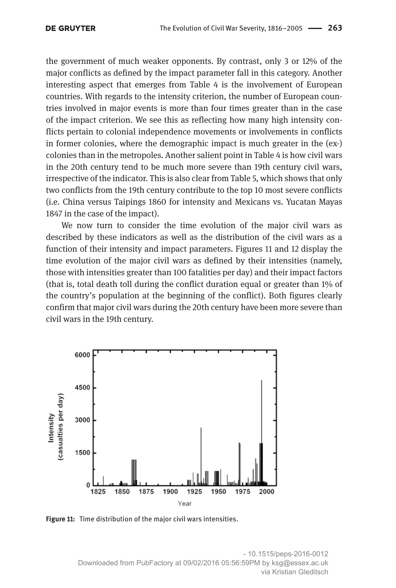the government of much weaker opponents. By contrast, only 3 or 12% of the major conflicts as defined by the impact parameter fall in this category. Another interesting aspect that emerges from Table 4 is the involvement of European countries. With regards to the intensity criterion, the number of European countries involved in major events is more than four times greater than in the case of the impact criterion. We see this as reflecting how many high intensity conflicts pertain to colonial independence movements or involvements in conflicts in former colonies, where the demographic impact is much greater in the (ex-) colonies than in the metropoles. Another salient point in Table 4 is how civil wars in the 20th century tend to be much more severe than 19th century civil wars, irrespective of the indicator. This is also clear from Table 5, which shows that only two conflicts from the 19th century contribute to the top 10 most severe conflicts (i.e. China versus Taipings 1860 for intensity and Mexicans vs. Yucatan Mayas 1847 in the case of the impact).

We now turn to consider the time evolution of the major civil wars as described by these indicators as well as the distribution of the civil wars as a function of their intensity and impact parameters. Figures 11 and 12 display the time evolution of the major civil wars as defined by their intensities (namely, those with intensities greater than 100 fatalities per day) and their impact factors (that is, total death toll during the conflict duration equal or greater than 1% of the country's population at the beginning of the conflict). Both figures clearly confirm that major civil wars during the 20th century have been more severe than civil wars in the 19th century.



**Figure 11:** Time distribution of the major civil wars intensities.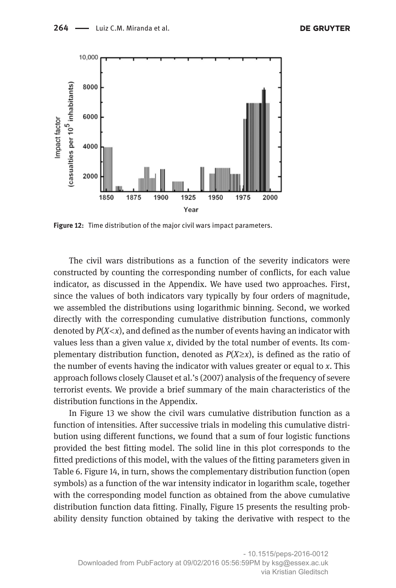

**Figure 12:** Time distribution of the major civil wars impact parameters.

The civil wars distributions as a function of the severity indicators were constructed by counting the corresponding number of conflicts, for each value indicator, as discussed in the Appendix. We have used two approaches. First, since the values of both indicators vary typically by four orders of magnitude, we assembled the distributions using logarithmic binning. Second, we worked directly with the corresponding cumulative distribution functions, commonly denoted by *P*(*X*<*x*), and defined as the number of events having an indicator with values less than a given value *x*, divided by the total number of events. Its complementary distribution function, denoted as  $P(X \ge x)$ , is defined as the ratio of the number of events having the indicator with values greater or equal to *x*. This approach follows closely Clauset et al.'s (2007) analysis of the frequency of severe terrorist events. We provide a brief summary of the main characteristics of the distribution functions in the Appendix.

In Figure 13 we show the civil wars cumulative distribution function as a function of intensities. After successive trials in modeling this cumulative distribution using different functions, we found that a sum of four logistic functions provided the best fitting model. The solid line in this plot corresponds to the fitted predictions of this model, with the values of the fitting parameters given in Table 6. Figure 14, in turn, shows the complementary distribution function (open symbols) as a function of the war intensity indicator in logarithm scale, together with the corresponding model function as obtained from the above cumulative distribution function data fitting. Finally, Figure 15 presents the resulting probability density function obtained by taking the derivative with respect to the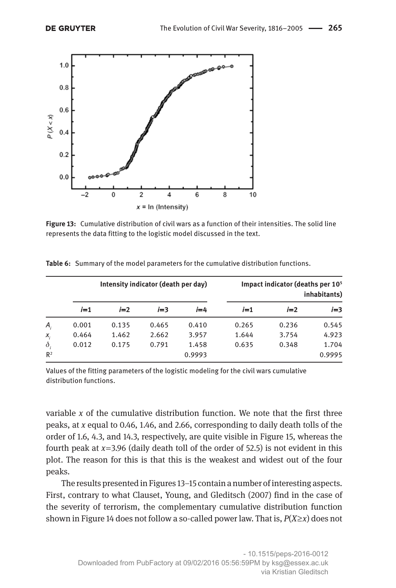

**Figure 13:** Cumulative distribution of civil wars as a function of their intensities. The solid line represents the data fitting to the logistic model discussed in the text.

|                | Intensity indicator (death per day) |       |       |         |       | Impact indicator (deaths per 10 <sup>5</sup> | inhabitants) |
|----------------|-------------------------------------|-------|-------|---------|-------|----------------------------------------------|--------------|
|                | $i=1$                               | $i=2$ | $i=3$ | $i = 4$ | $i=1$ | $i=2$                                        | $i=3$        |
| Α,             | 0.001                               | 0.135 | 0.465 | 0.410   | 0.265 | 0.236                                        | 0.545        |
| $X_i$          | 0.464                               | 1.462 | 2.662 | 3.957   | 1.644 | 3.754                                        | 4.923        |
| $\delta$       | 0.012                               | 0.175 | 0.791 | 1.458   | 0.635 | 0.348                                        | 1.704        |
| R <sup>2</sup> |                                     |       |       | 0.9993  |       |                                              | 0.9995       |

**Table 6:** Summary of the model parameters for the cumulative distribution functions.

Values of the fitting parameters of the logistic modeling for the civil wars cumulative distribution functions.

variable *x* of the cumulative distribution function. We note that the first three peaks, at *x* equal to 0.46, 1.46, and 2.66, corresponding to daily death tolls of the order of 1.6, 4.3, and 14.3, respectively, are quite visible in Figure 15, whereas the fourth peak at  $x=3.96$  (daily death toll of the order of 52.5) is not evident in this plot. The reason for this is that this is the weakest and widest out of the four peaks.

The results presented in Figures 13–15 contain a number of interesting aspects. First, contrary to what Clauset, Young, and Gleditsch (2007) find in the case of the severity of terrorism, the complementary cumulative distribution function shown in Figure 14 does not follow a so-called power law. That is,  $P(X \geq x)$  does not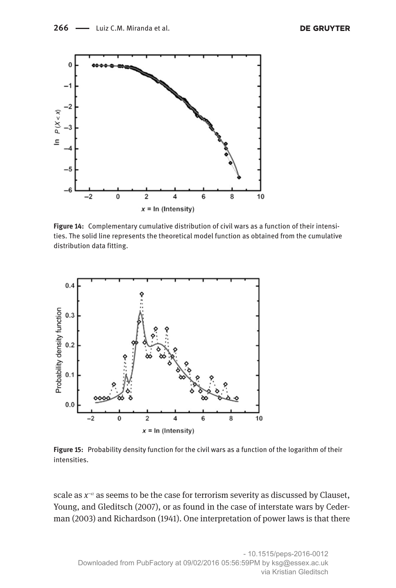

**Figure 14:** Complementary cumulative distribution of civil wars as a function of their intensities. The solid line represents the theoretical model function as obtained from the cumulative distribution data fitting.



**Figure 15:** Probability density function for the civil wars as a function of the logarithm of their intensities.

scale as *x<sup>-α</sup>* as seems to be the case for terrorism severity as discussed by Clauset, Young, and Gleditsch (2007), or as found in the case of interstate wars by Cederman (2003) and Richardson (1941). One interpretation of power laws is that there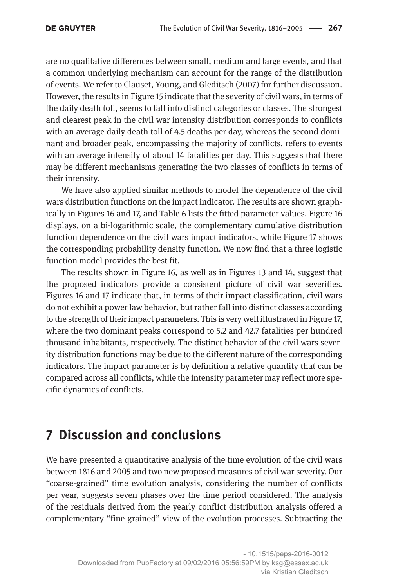are no qualitative differences between small, medium and large events, and that a common underlying mechanism can account for the range of the distribution of events. We refer to Clauset, Young, and Gleditsch (2007) for further discussion. However, the results in Figure 15 indicate that the severity of civil wars, in terms of the daily death toll, seems to fall into distinct categories or classes. The strongest and clearest peak in the civil war intensity distribution corresponds to conflicts with an average daily death toll of 4.5 deaths per day, whereas the second dominant and broader peak, encompassing the majority of conflicts, refers to events with an average intensity of about 14 fatalities per day. This suggests that there may be different mechanisms generating the two classes of conflicts in terms of their intensity.

We have also applied similar methods to model the dependence of the civil wars distribution functions on the impact indicator. The results are shown graphically in Figures 16 and 17, and Table 6 lists the fitted parameter values. Figure 16 displays, on a bi-logarithmic scale, the complementary cumulative distribution function dependence on the civil wars impact indicators, while Figure 17 shows the corresponding probability density function. We now find that a three logistic function model provides the best fit.

The results shown in Figure 16, as well as in Figures 13 and 14, suggest that the proposed indicators provide a consistent picture of civil war severities. Figures 16 and 17 indicate that, in terms of their impact classification, civil wars do not exhibit a power law behavior, but rather fall into distinct classes according to the strength of their impact parameters. This is very well illustrated in Figure 17, where the two dominant peaks correspond to 5.2 and 42.7 fatalities per hundred thousand inhabitants, respectively. The distinct behavior of the civil wars severity distribution functions may be due to the different nature of the corresponding indicators. The impact parameter is by definition a relative quantity that can be compared across all conflicts, while the intensity parameter may reflect more specific dynamics of conflicts.

# **7 Discussion and conclusions**

We have presented a quantitative analysis of the time evolution of the civil wars between 1816 and 2005 and two new proposed measures of civil war severity. Our "coarse-grained" time evolution analysis, considering the number of conflicts per year, suggests seven phases over the time period considered. The analysis of the residuals derived from the yearly conflict distribution analysis offered a complementary "fine-grained" view of the evolution processes. Subtracting the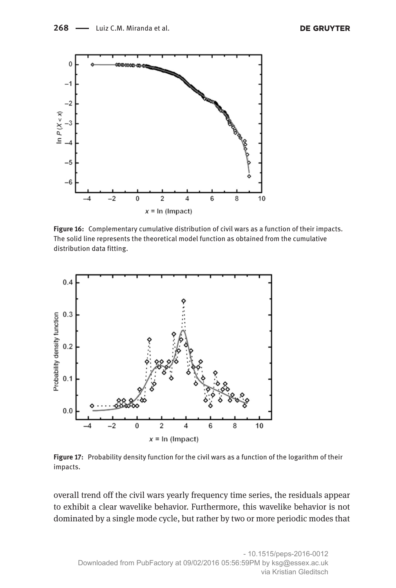

**Figure 16:** Complementary cumulative distribution of civil wars as a function of their impacts. The solid line represents the theoretical model function as obtained from the cumulative distribution data fitting.



**Figure 17:** Probability density function for the civil wars as a function of the logarithm of their impacts.

overall trend off the civil wars yearly frequency time series, the residuals appear to exhibit a clear wavelike behavior. Furthermore, this wavelike behavior is not dominated by a single mode cycle, but rather by two or more periodic modes that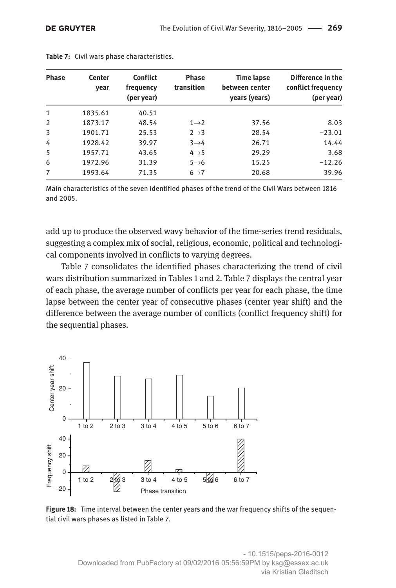| <b>Phase</b> | Center<br>vear | <b>Conflict</b><br>frequency<br>(per year) | <b>Phase</b><br>transition | <b>Time lapse</b><br>between center<br>years (years) | Difference in the<br>conflict frequency<br>(per year) |
|--------------|----------------|--------------------------------------------|----------------------------|------------------------------------------------------|-------------------------------------------------------|
| $\mathbf{1}$ | 1835.61        | 40.51                                      |                            |                                                      |                                                       |
| 2            | 1873.17        | 48.54                                      | $1\rightarrow 2$           | 37.56                                                | 8.03                                                  |
| 3            | 1901.71        | 25.53                                      | $2 \rightarrow 3$          | 28.54                                                | $-23.01$                                              |
| 4            | 1928.42        | 39.97                                      | $3\rightarrow 4$           | 26.71                                                | 14.44                                                 |
| 5            | 1957.71        | 43.65                                      | $4 \rightarrow 5$          | 29.29                                                | 3.68                                                  |
| 6            | 1972.96        | 31.39                                      | $5 \rightarrow 6$          | 15.25                                                | $-12.26$                                              |
| 7            | 1993.64        | 71.35                                      | $6 \rightarrow 7$          | 20.68                                                | 39.96                                                 |

**Table 7:** Civil wars phase characteristics.

Main characteristics of the seven identified phases of the trend of the Civil Wars between 1816 and 2005.

add up to produce the observed wavy behavior of the time-series trend residuals, suggesting a complex mix of social, religious, economic, political and technological components involved in conflicts to varying degrees.

Table 7 consolidates the identified phases characterizing the trend of civil wars distribution summarized in Tables 1 and 2. Table 7 displays the central year of each phase, the average number of conflicts per year for each phase, the time lapse between the center year of consecutive phases (center year shift) and the difference between the average number of conflicts (conflict frequency shift) for the sequential phases.



**Figure 18:** Time interval between the center years and the war frequency shifts of the sequential civil wars phases as listed in Table 7.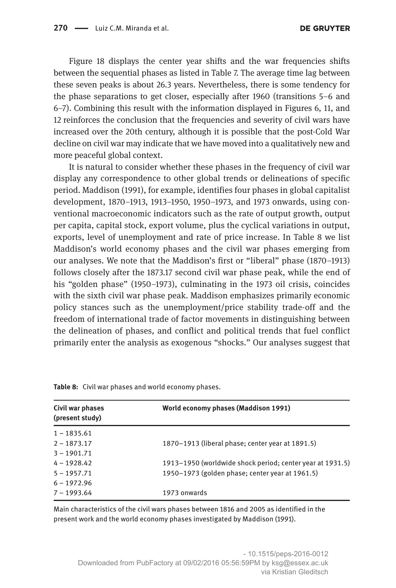Figure 18 displays the center year shifts and the war frequencies shifts between the sequential phases as listed in Table 7. The average time lag between these seven peaks is about 26.3 years. Nevertheless, there is some tendency for the phase separations to get closer, especially after 1960 (transitions 5–6 and 6–7). Combining this result with the information displayed in Figures 6, 11, and 12 reinforces the conclusion that the frequencies and severity of civil wars have increased over the 20th century, although it is possible that the post-Cold War decline on civil war may indicate that we have moved into a qualitatively new and more peaceful global context.

It is natural to consider whether these phases in the frequency of civil war display any correspondence to other global trends or delineations of specific period. Maddison (1991), for example, identifies four phases in global capitalist development, 1870–1913, 1913–1950, 1950–1973, and 1973 onwards, using conventional macroeconomic indicators such as the rate of output growth, output per capita, capital stock, export volume, plus the cyclical variations in output, exports, level of unemployment and rate of price increase. In Table 8 we list Maddison's world economy phases and the civil war phases emerging from our analyses. We note that the Maddison's first or "liberal" phase (1870–1913) follows closely after the 1873.17 second civil war phase peak, while the end of his "golden phase" (1950–1973), culminating in the 1973 oil crisis, coincides with the sixth civil war phase peak. Maddison emphasizes primarily economic policy stances such as the unemployment/price stability trade-off and the freedom of international trade of factor movements in distinguishing between the delineation of phases, and conflict and political trends that fuel conflict primarily enter the analysis as exogenous "shocks." Our analyses suggest that

| Civil war phases<br>(present study) | World economy phases (Maddison 1991)                      |
|-------------------------------------|-----------------------------------------------------------|
| $1 - 1835.61$                       |                                                           |
| $2 - 1873.17$                       | 1870–1913 (liberal phase; center year at 1891.5)          |
| $3 - 1901.71$                       |                                                           |
| $4 - 1928.42$                       | 1913–1950 (worldwide shock period; center year at 1931.5) |
| $5 - 1957.71$                       | 1950–1973 (golden phase; center year at 1961.5)           |
| $6 - 1972.96$                       |                                                           |
| $7 - 1993.64$                       | 1973 onwards                                              |

**Table 8:** Civil war phases and world economy phases.

Main characteristics of the civil wars phases between 1816 and 2005 as identified in the present work and the world economy phases investigated by Maddison (1991).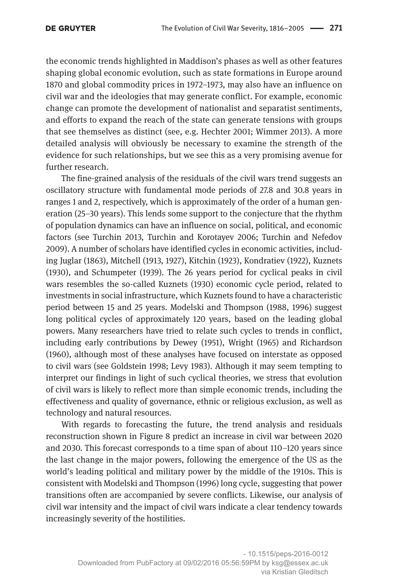the economic trends highlighted in Maddison's phases as well as other features shaping global economic evolution, such as state formations in Europe around 1870 and global commodity prices in 1972–1973, may also have an influence on civil war and the ideologies that may generate conflict. For example, economic change can promote the development of nationalist and separatist sentiments, and efforts to expand the reach of the state can generate tensions with groups that see themselves as distinct (see, e.g. Hechter 2001; Wimmer 2013). A more detailed analysis will obviously be necessary to examine the strength of the evidence for such relationships, but we see this as a very promising avenue for further research.

The fine-grained analysis of the residuals of the civil wars trend suggests an oscillatory structure with fundamental mode periods of 27.8 and 30.8 years in ranges 1 and 2, respectively, which is approximately of the order of a human generation (25–30 years). This lends some support to the conjecture that the rhythm of population dynamics can have an influence on social, political, and economic factors (see Turchin 2013, Turchin and Korotayev 2006; Turchin and Nefedov 2009). A number of scholars have identified cycles in economic activities, including Juglar (1863), Mitchell (1913, 1927), Kitchin (1923), Kondratiev (1922), Kuznets (1930), and Schumpeter (1939). The 26 years period for cyclical peaks in civil wars resembles the so-called Kuznets (1930) economic cycle period, related to investments in social infrastructure, which Kuznets found to have a characteristic period between 15 and 25 years. Modelski and Thompson (1988, 1996) suggest long political cycles of approximately 120 years, based on the leading global powers. Many researchers have tried to relate such cycles to trends in conflict, including early contributions by Dewey (1951), Wright (1965) and Richardson (1960), although most of these analyses have focused on interstate as opposed to civil wars (see Goldstein 1998; Levy 1983). Although it may seem tempting to interpret our findings in light of such cyclical theories, we stress that evolution of civil wars is likely to reflect more than simple economic trends, including the effectiveness and quality of governance, ethnic or religious exclusion, as well as technology and natural resources.

With regards to forecasting the future, the trend analysis and residuals reconstruction shown in Figure 8 predict an increase in civil war between 2020 and 2030. This forecast corresponds to a time span of about 110–120 years since the last change in the major powers, following the emergence of the US as the world's leading political and military power by the middle of the 1910s. This is consistent with Modelski and Thompson (1996) long cycle, suggesting that power transitions often are accompanied by severe conflicts. Likewise, our analysis of civil war intensity and the impact of civil wars indicate a clear tendency towards increasingly severity of the hostilities.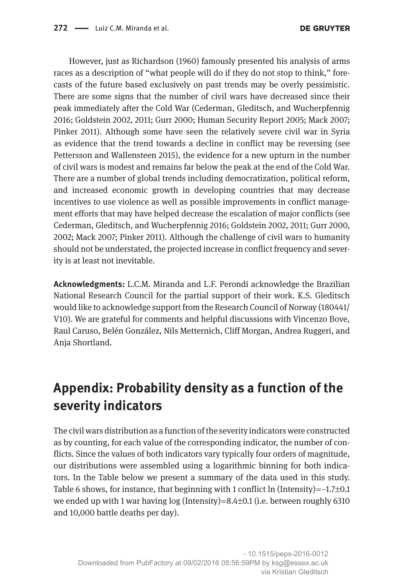However, just as Richardson (1960) famously presented his analysis of arms races as a description of "what people will do if they do not stop to think," forecasts of the future based exclusively on past trends may be overly pessimistic. There are some signs that the number of civil wars have decreased since their peak immediately after the Cold War (Cederman, Gleditsch, and Wucherpfennig 2016; Goldstein 2002, 2011; Gurr 2000; Human Security Report 2005; Mack 2007; Pinker 2011). Although some have seen the relatively severe civil war in Syria as evidence that the trend towards a decline in conflict may be reversing (see Pettersson and Wallensteen 2015), the evidence for a new upturn in the number of civil wars is modest and remains far below the peak at the end of the Cold War. There are a number of global trends including democratization, political reform, and increased economic growth in developing countries that may decrease incentives to use violence as well as possible improvements in conflict management efforts that may have helped decrease the escalation of major conflicts (see Cederman, Gleditsch, and Wucherpfennig 2016; Goldstein 2002, 2011; Gurr 2000, 2002; Mack 2007; Pinker 2011). Although the challenge of civil wars to humanity should not be understated, the projected increase in conflict frequency and severity is at least not inevitable.

**Acknowledgments:** L.C.M. Miranda and L.F. Perondi acknowledge the Brazilian National Research Council for the partial support of their work. K.S. Gleditsch would like to acknowledge support from the Research Council of Norway (180441/ V10). We are grateful for comments and helpful discussions with Vincenzo Bove, Raul Caruso, Belén González, Nils Metternich, Cliff Morgan, Andrea Ruggeri, and Anja Shortland.

# **Appendix: Probability density as a function of the severity indicators**

The civil wars distribution as a function of the severity indicators were constructed as by counting, for each value of the corresponding indicator, the number of conflicts. Since the values of both indicators vary typically four orders of magnitude, our distributions were assembled using a logarithmic binning for both indicators. In the Table below we present a summary of the data used in this study. Table 6 shows, for instance, that beginning with 1 conflict ln (Intensity) $=$ -1.7 $\pm$ 0.1 we ended up with 1 war having  $log (Intensity)=8.4\pm0.1$  (i.e. between roughly 6310 and 10,000 battle deaths per day).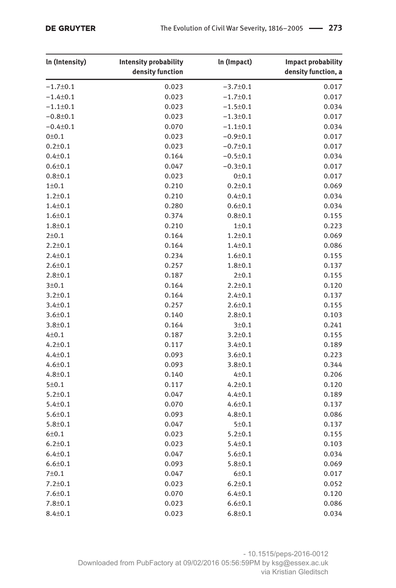| In (Intensity)    | <b>Intensity probability</b><br>density function | In (Impact)        | <b>Impact probability</b><br>density function, a |
|-------------------|--------------------------------------------------|--------------------|--------------------------------------------------|
| $-1.7 \pm 0.1$    | 0.023                                            | $-3.7 \pm 0.1$     | 0.017                                            |
| $-1.4 \pm 0.1$    | 0.023                                            | $-1.7 + 0.1$       | 0.017                                            |
| $-1.1 \pm 0.1$    | 0.023                                            | $-1.5 \pm 0.1$     | 0.034                                            |
| $-0.8 + 0.1$      | 0.023                                            | $-1.3 \pm 0.1$     | 0.017                                            |
| $-0.4 + 0.1$      | 0.070                                            | $-1.1 \pm 0.1$     | 0.034                                            |
| 0 <sub>±0.1</sub> | 0.023                                            | $-0.9 + 0.1$       | 0.017                                            |
| $0.2 \pm 0.1$     | 0.023                                            | $-0.7 \pm 0.1$     | 0.017                                            |
| $0.4 + 0.1$       | 0.164                                            | $-0.5 \pm 0.1$     | 0.034                                            |
| $0.6 + 0.1$       | 0.047                                            | $-0.3 \pm 0.1$     | 0.017                                            |
| $0.8 + 0.1$       | 0.023                                            | 0 <sub>±</sub> 0.1 | 0.017                                            |
| $1 \pm 0.1$       | 0.210                                            | $0.2 \pm 0.1$      | 0.069                                            |
| $1.2 \pm 0.1$     | 0.210                                            | $0.4 + 0.1$        | 0.034                                            |
| $1.4 + 0.1$       | 0.280                                            | $0.6 + 0.1$        | 0.034                                            |
| $1.6 + 0.1$       | 0.374                                            | $0.8 + 0.1$        | 0.155                                            |
| $1.8 + 0.1$       | 0.210                                            | $1 + 0.1$          | 0.223                                            |
| $2+0.1$           | 0.164                                            | $1.2 \pm 0.1$      | 0.069                                            |
| $2.2 \pm 0.1$     | 0.164                                            | $1.4 + 0.1$        | 0.086                                            |
| $2.4 \pm 0.1$     | 0.234                                            | $1.6 + 0.1$        | 0.155                                            |
| $2.6 \pm 0.1$     | 0.257                                            | $1.8 + 0.1$        | 0.137                                            |
| $2.8 \pm 0.1$     | 0.187                                            | $2 + 0.1$          | 0.155                                            |
| 3±0.1             | 0.164                                            | $2.2 \pm 0.1$      | 0.120                                            |
| $3.2 \pm 0.1$     | 0.164                                            | $2.4 + 0.1$        | 0.137                                            |
| $3.4 \pm 0.1$     | 0.257                                            | $2.6 \pm 0.1$      | 0.155                                            |
| $3.6 \pm 0.1$     | 0.140                                            | $2.8 \pm 0.1$      | 0.103                                            |
| $3.8 \pm 0.1$     | 0.164                                            | 3±0.1              | 0.241                                            |
| $4 + 0.1$         | 0.187                                            | $3.2 \pm 0.1$      | 0.155                                            |
| $4.2 \pm 0.1$     | 0.117                                            | $3.4 \pm 0.1$      | 0.189                                            |
| $4.4 \pm 0.1$     | 0.093                                            | $3.6 \pm 0.1$      | 0.223                                            |
| $4.6 \pm 0.1$     | 0.093                                            | $3.8 \pm 0.1$      | 0.344                                            |
| $4.8 + 0.1$       | 0.140                                            | $4 + 0.1$          | 0.206                                            |
| 5 ± 0.1           | 0.117                                            | $4.2 \pm 0.1$      | 0.120                                            |
| $5.2 \pm 0.1$     | 0.047                                            | $4.4 \pm 0.1$      | 0.189                                            |
| $5.4 \pm 0.1$     | 0.070                                            | $4.6 \pm 0.1$      | 0.137                                            |
| $5.6 \pm 0.1$     | 0.093                                            | $4.8 \pm 0.1$      | 0.086                                            |
| $5.8 \pm 0.1$     | 0.047                                            | 5 ± 0.1            | 0.137                                            |
| $6 + 0.1$         | 0.023                                            | $5.2 \pm 0.1$      | 0.155                                            |
| $6.2 \pm 0.1$     | 0.023                                            | $5.4 \pm 0.1$      | 0.103                                            |
| $6.4 + 0.1$       | 0.047                                            | $5.6 \pm 0.1$      | 0.034                                            |
| $6.6 + 0.1$       | 0.093                                            | $5.8 + 0.1$        | 0.069                                            |
| $7 + 0.1$         | 0.047                                            | $6 + 0.1$          | 0.017                                            |
| $7.2 \pm 0.1$     | 0.023                                            | $6.2 \pm 0.1$      | 0.052                                            |
| $7.6 \pm 0.1$     | 0.070                                            | $6.4 + 0.1$        | 0.120                                            |
| $7.8 \pm 0.1$     | 0.023                                            | $6.6 + 0.1$        | 0.086                                            |
| $8.4 \pm 0.1$     | 0.023                                            | $6.8 + 0.1$        | 0.034                                            |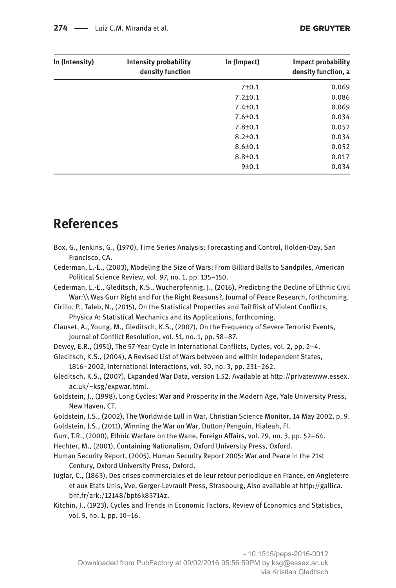| In (Intensity) | <b>Intensity probability</b><br>density function | In (Impact)   | <b>Impact probability</b><br>density function, a |
|----------------|--------------------------------------------------|---------------|--------------------------------------------------|
|                |                                                  | $7 + 0.1$     | 0.069                                            |
|                |                                                  | $7.2 \pm 0.1$ | 0.086                                            |
|                |                                                  | $7.4 \pm 0.1$ | 0.069                                            |
|                |                                                  | $7.6 \pm 0.1$ | 0.034                                            |
|                |                                                  | $7.8 \pm 0.1$ | 0.052                                            |
|                |                                                  | $8.2 \pm 0.1$ | 0.034                                            |
|                |                                                  | $8.6 \pm 0.1$ | 0.052                                            |
|                |                                                  | $8.8 \pm 0.1$ | 0.017                                            |
|                |                                                  | 9 ± 0.1       | 0.034                                            |

### **References**

Box, G., Jenkins, G., (1970), Time Series Analysis: Forecasting and Control, Holden-Day, San Francisco, CA. Cederman, L.-E., (2003), Modeling the Size of Wars: From Billiard Balls to Sandpiles, American Political Science Review, vol. 97, no. 1, pp. 135–150. Cederman, L.-E., Gleditsch, K.S., Wucherpfennig, J., (2016), Predicting the Decline of Ethnic Civil War:\\ Was Gurr Right and For the Right Reasons?, Journal of Peace Research, forthcoming. Cirillo, P., Taleb, N., (2015), On the Statistical Properties and Tail Risk of Violent Conflicts, Physica A: Statistical Mechanics and its Applications, forthcoming. Clauset, A., Young, M., Gleditsch, K.S., (2007), On the Frequency of Severe Terrorist Events, Journal of Conflict Resolution, vol. 51, no. 1, pp. 58–87. Dewey, E.R., (1951), The 57-Year Cycle in International Conflicts, Cycles, vol. 2, pp. 2–4. Gleditsch, K.S., (2004), A Revised List of Wars between and within Independent States, 1816–2002, International Interactions, vol. 30, no. 3, pp. 231–262. Gleditsch, K.S., (2007), Expanded War Data, version 1.52. Available at [http://privatewww.essex.](http://privatewww.essex.ac.uk/~ksg/expwar.html) [ac.uk/∼ksg/expwar.html](http://privatewww.essex.ac.uk/~ksg/expwar.html). Goldstein, J., (1998), Long Cycles: War and Prosperity in the Modern Age, Yale University Press, New Haven, CT. Goldstein, J.S., (2002), The Worldwide Lull in War, Christian Science Monitor, 14 May 2002, p. 9. Goldstein, J.S., (2011), Winning the War on War, Dutton/Penguin, Hialeah, FI. Gurr, T.R., (2000), Ethnic Warfare on the Wane, Foreign Affairs, vol. 79, no. 3, pp. 52–64. Hechter, M., (2001), Containing Nationalism, Oxford University Press, Oxford. Human Security Report, (2005), Human Security Report 2005: War and Peace in the 21st Century, Oxford University Press, Oxford. Juglar, C., (1863), Des crises commerciales et de leur retour periodique en France, en Angleterre et aux Etats Unis, Vve. Gerger-Levrault Press, Strasbourg, Also available at [http://gallica.](http://gallica.bnf.fr/ark:/12148/bpt6k83714z) [bnf.fr/ark:/12148/bpt6k83714z.](http://gallica.bnf.fr/ark:/12148/bpt6k83714z) Kitchin, J., (1923), Cycles and Trends in Economic Factors, Review of Economics and Statistics, vol. 5, no. 1, pp. 10–16.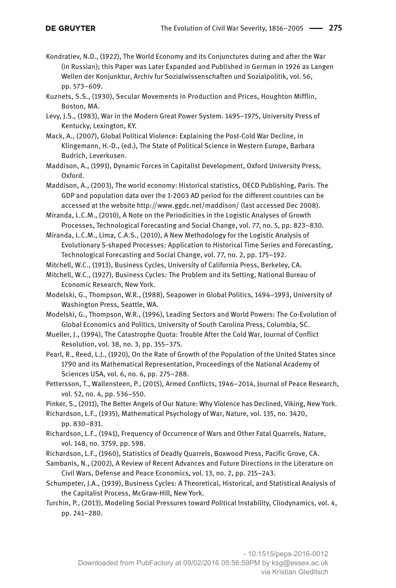- Kondratiev, N.D., (1922), The World Economy and its Conjunctures during and after the War (in Russian); this Paper was Later Expanded and Published in German in 1926 as Langen Wellen der Konjunktur, Archiv fur Sozialwissenschaften und Sozialpolitik, vol. 56, pp. 573–609.
- Kuznets, S.S., (1930), Secular Movements in Production and Prices, Houghton Mifflin, Boston, MA.
- Levy, J.S., (1983), War in the Modern Great Power System. 1495–1975, University Press of Kentucky, Lexington, KY.
- Mack, A., (2007), Global Political Violence: Explaining the Post-Cold War Decline, in Klingemann, H.-D., (ed.), The State of Political Science in Western Europe, Barbara Budrich, Leverkusen.
- Maddison, A., (1991), Dynamic Forces in Capitalist Development, Oxford University Press, Oxford.
- Maddison, A., (2003), The world economy: Historical statistics, OECD Publishing, Paris. The GDP and population data over the 1-2003 AD period for the different countries can be accessed at the website <http://www.ggdc.net/maddison/>(last accessed Dec 2008).

Miranda, L.C.M., (2010), A Note on the Periodicities in the Logistic Analyses of Growth Processes, Technological Forecasting and Social Change, vol. 77, no. 5, pp. 823–830.

Miranda, L.C.M., Lima, C.A.S., (2010), A New Methodology for the Logistic Analysis of Evolutionary S-shaped Processes: Application to Historical Time Series and Forecasting, Technological Forecasting and Social Change, vol. 77, no. 2, pp. 175–192.

Mitchell, W.C., (1913), Business Cycles, University of California Press, Berkeley, CA.

- Mitchell, W.C., (1927), Business Cycles: The Problem and its Setting, National Bureau of Economic Research, New York.
- Modelski, G., Thompson, W.R., (1988), Seapower in Global Politics, 1494–1993, University of Washington Press, Seattle, WA.
- Modelski, G., Thompson, W.R., (1996), Leading Sectors and World Powers: The Co-Evolution of Global Economics and Politics, University of South Carolina Press, Columbia, SC.
- Mueller, J., (1994), The Catastrophe Quota: Trouble After the Cold War, Journal of Conflict Resolution, vol. 38, no. 3, pp. 355–375.
- Pearl, R., Reed, L.J., (1920), On the Rate of Growth of the Population of the United States since 1790 and its Mathematical Representation, Proceedings of the National Academy of Sciences USA, vol. 6, no. 6, pp. 275–288.
- Pettersson, T., Wallensteen, P., (2015), Armed Conflicts, 1946–2014, Journal of Peace Research, vol. 52, no. 4, pp. 536–550.
- Pinker, S., (2011), The Better Angels of Our Nature: Why Violence has Declined, Viking, New York.

Richardson, L.F., (1935), Mathematical Psychology of War, Nature, vol. 135, no. 3420, pp. 830–831.

- Richardson, L.F., (1941), Frequency of Occurrence of Wars and Other Fatal Quarrels, Nature, vol. 148, no. 3759, pp. 598.
- Richardson, L.F., (1960), Statistics of Deadly Quarrels, Boxwood Press, Pacific Grove, CA.
- Sambanis, N., (2002), A Review of Recent Advances and Future Directions in the Literature on Civil Wars, Defense and Peace Economics, vol. 13, no. 2, pp. 215–243.
- Schumpeter, J.A., (1939), Business Cycles: A Theoretical, Historical, and Statistical Analysis of the Capitalist Process, McGraw-Hill, New York.
- Turchin, P., (2013), Modeling Social Pressures toward Political Instability, Cliodynamics, vol. 4, pp. 241–280.